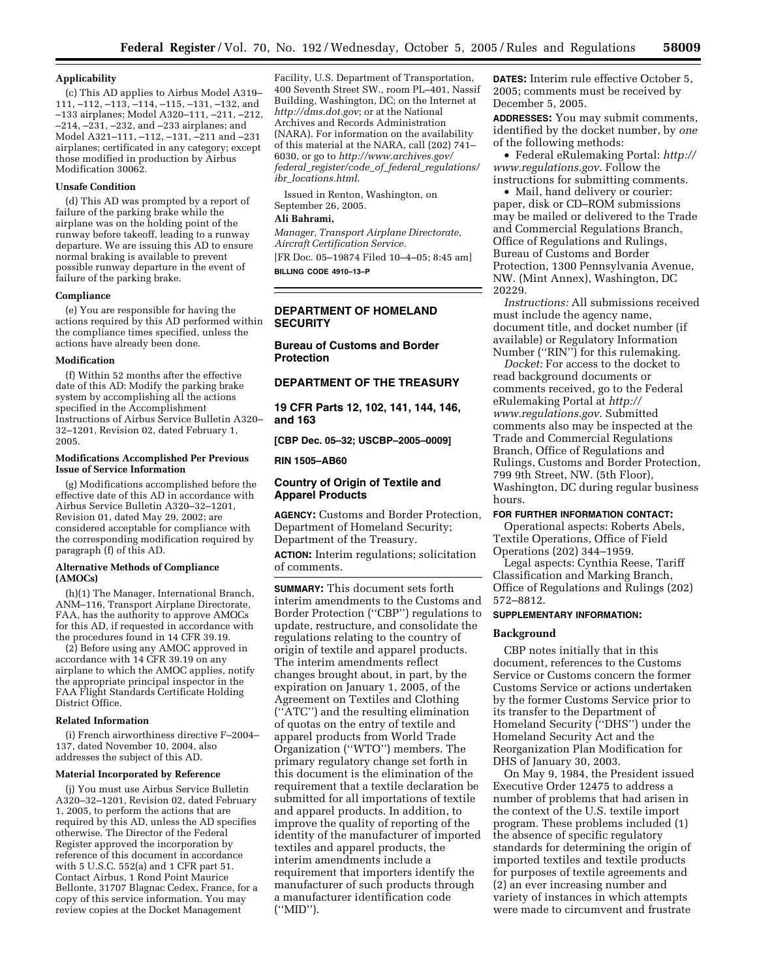#### **Applicability**

(c) This AD applies to Airbus Model A319– 111, –112, –113, –114, –115, –131, –132, and –133 airplanes; Model A320–111, –211, –212, –214, –231, –232, and –233 airplanes; and Model A321–111, –112, –131, –211 and –231 airplanes; certificated in any category; except those modified in production by Airbus Modification 30062.

#### **Unsafe Condition**

(d) This AD was prompted by a report of failure of the parking brake while the airplane was on the holding point of the runway before takeoff, leading to a runway departure. We are issuing this AD to ensure normal braking is available to prevent possible runway departure in the event of failure of the parking brake.

#### **Compliance**

(e) You are responsible for having the actions required by this AD performed within the compliance times specified, unless the actions have already been done.

#### **Modification**

(f) Within 52 months after the effective date of this AD: Modify the parking brake system by accomplishing all the actions specified in the Accomplishment Instructions of Airbus Service Bulletin A320– 32–1201, Revision 02, dated February 1, 2005.

#### **Modifications Accomplished Per Previous Issue of Service Information**

(g) Modifications accomplished before the effective date of this AD in accordance with Airbus Service Bulletin A320–32–1201, Revision 01, dated May 29, 2002; are considered acceptable for compliance with the corresponding modification required by paragraph (f) of this AD.

#### **Alternative Methods of Compliance (AMOCs)**

(h)(1) The Manager, International Branch, ANM–116, Transport Airplane Directorate, FAA, has the authority to approve AMOCs for this AD, if requested in accordance with the procedures found in 14 CFR 39.19.

(2) Before using any AMOC approved in accordance with 14 CFR 39.19 on any airplane to which the AMOC applies, notify the appropriate principal inspector in the FAA Flight Standards Certificate Holding District Office.

#### **Related Information**

(i) French airworthiness directive F–2004– 137, dated November 10, 2004, also addresses the subject of this AD.

#### **Material Incorporated by Reference**

(j) You must use Airbus Service Bulletin A320–32–1201, Revision 02, dated February 1, 2005, to perform the actions that are required by this AD, unless the AD specifies otherwise. The Director of the Federal Register approved the incorporation by reference of this document in accordance with 5 U.S.C. 552(a) and 1 CFR part 51. Contact Airbus, 1 Rond Point Maurice Bellonte, 31707 Blagnac Cedex, France, for a copy of this service information. You may review copies at the Docket Management

Facility, U.S. Department of Transportation, 400 Seventh Street SW., room PL–401, Nassif Building, Washington, DC; on the Internet at *http://dms.dot.gov*; or at the National Archives and Records Administration (NARA). For information on the availability of this material at the NARA, call (202) 741– 6030, or go to *http://www.archives.gov/ federal*\_*register/code*\_*of*\_*federal*\_*regulations/ ibr*\_*locations.html*.

Issued in Renton, Washington, on September 26, 2005.

## **Ali Bahrami,**

*Manager, Transport Airplane Directorate, Aircraft Certification Service.*  [FR Doc. 05–19874 Filed 10–4–05; 8:45 am] **BILLING CODE 4910–13–P** 

## **DEPARTMENT OF HOMELAND SECURITY**

**Bureau of Customs and Border Protection** 

## **DEPARTMENT OF THE TREASURY**

**19 CFR Parts 12, 102, 141, 144, 146, and 163** 

**[CBP Dec. 05–32; USCBP–2005–0009]** 

#### **RIN 1505–AB60**

## **Country of Origin of Textile and Apparel Products**

**AGENCY:** Customs and Border Protection, Department of Homeland Security; Department of the Treasury.

**ACTION:** Interim regulations; solicitation of comments.

**SUMMARY:** This document sets forth interim amendments to the Customs and Border Protection (''CBP'') regulations to update, restructure, and consolidate the regulations relating to the country of origin of textile and apparel products. The interim amendments reflect changes brought about, in part, by the expiration on January 1, 2005, of the Agreement on Textiles and Clothing (''ATC'') and the resulting elimination of quotas on the entry of textile and apparel products from World Trade Organization (''WTO'') members. The primary regulatory change set forth in this document is the elimination of the requirement that a textile declaration be submitted for all importations of textile and apparel products. In addition, to improve the quality of reporting of the identity of the manufacturer of imported textiles and apparel products, the interim amendments include a requirement that importers identify the manufacturer of such products through a manufacturer identification code (''MID'').

**DATES:** Interim rule effective October 5, 2005; comments must be received by December 5, 2005.

**ADDRESSES:** You may submit comments, identified by the docket number, by *one*  of the following methods:

• Federal eRulemaking Portal: *http:// www.regulations.gov*. Follow the instructions for submitting comments.

• Mail, hand delivery or courier: paper, disk or CD–ROM submissions may be mailed or delivered to the Trade and Commercial Regulations Branch, Office of Regulations and Rulings, Bureau of Customs and Border Protection, 1300 Pennsylvania Avenue, NW. (Mint Annex), Washington, DC 20229.

*Instructions:* All submissions received must include the agency name, document title, and docket number (if available) or Regulatory Information Number ("RIN") for this rulemaking.

*Docket:* For access to the docket to read background documents or comments received, go to the Federal eRulemaking Portal at *http:// www.regulations.gov*. Submitted comments also may be inspected at the Trade and Commercial Regulations Branch, Office of Regulations and Rulings, Customs and Border Protection, 799 9th Street, NW. (5th Floor), Washington, DC during regular business hours.

#### **FOR FURTHER INFORMATION CONTACT:**

Operational aspects: Roberts Abels, Textile Operations, Office of Field Operations (202) 344–1959.

Legal aspects: Cynthia Reese, Tariff Classification and Marking Branch, Office of Regulations and Rulings (202) 572–8812.

#### **SUPPLEMENTARY INFORMATION:**

#### **Background**

CBP notes initially that in this document, references to the Customs Service or Customs concern the former Customs Service or actions undertaken by the former Customs Service prior to its transfer to the Department of Homeland Security (''DHS'') under the Homeland Security Act and the Reorganization Plan Modification for DHS of January 30, 2003.

On May 9, 1984, the President issued Executive Order 12475 to address a number of problems that had arisen in the context of the U.S. textile import program. These problems included (1) the absence of specific regulatory standards for determining the origin of imported textiles and textile products for purposes of textile agreements and (2) an ever increasing number and variety of instances in which attempts were made to circumvent and frustrate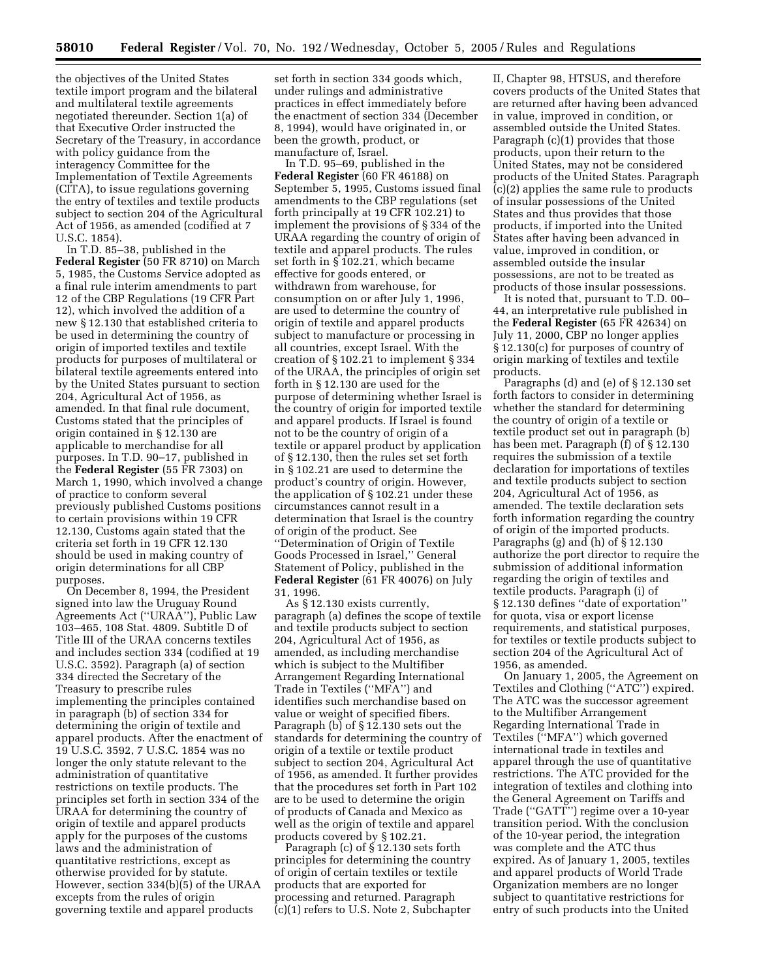the objectives of the United States textile import program and the bilateral and multilateral textile agreements negotiated thereunder. Section 1(a) of that Executive Order instructed the Secretary of the Treasury, in accordance with policy guidance from the interagency Committee for the Implementation of Textile Agreements (CITA), to issue regulations governing the entry of textiles and textile products subject to section 204 of the Agricultural Act of 1956, as amended (codified at 7 U.S.C. 1854).

In T.D. 85–38, published in the **Federal Register** (50 FR 8710) on March 5, 1985, the Customs Service adopted as a final rule interim amendments to part 12 of the CBP Regulations (19 CFR Part 12), which involved the addition of a new § 12.130 that established criteria to be used in determining the country of origin of imported textiles and textile products for purposes of multilateral or bilateral textile agreements entered into by the United States pursuant to section 204, Agricultural Act of 1956, as amended. In that final rule document, Customs stated that the principles of origin contained in § 12.130 are applicable to merchandise for all purposes. In T.D. 90–17, published in the **Federal Register** (55 FR 7303) on March 1, 1990, which involved a change of practice to conform several previously published Customs positions to certain provisions within 19 CFR 12.130, Customs again stated that the criteria set forth in 19 CFR 12.130 should be used in making country of origin determinations for all CBP purposes.

On December 8, 1994, the President signed into law the Uruguay Round Agreements Act (''URAA''), Public Law 103–465, 108 Stat. 4809. Subtitle D of Title III of the URAA concerns textiles and includes section 334 (codified at 19 U.S.C. 3592). Paragraph (a) of section 334 directed the Secretary of the Treasury to prescribe rules implementing the principles contained in paragraph (b) of section 334 for determining the origin of textile and apparel products. After the enactment of 19 U.S.C. 3592, 7 U.S.C. 1854 was no longer the only statute relevant to the administration of quantitative restrictions on textile products. The principles set forth in section 334 of the URAA for determining the country of origin of textile and apparel products apply for the purposes of the customs laws and the administration of quantitative restrictions, except as otherwise provided for by statute. However, section 334(b)(5) of the URAA excepts from the rules of origin governing textile and apparel products

set forth in section 334 goods which, under rulings and administrative practices in effect immediately before the enactment of section 334 (December 8, 1994), would have originated in, or been the growth, product, or manufacture of, Israel.

In T.D. 95–69, published in the **Federal Register** (60 FR 46188) on September 5, 1995, Customs issued final amendments to the CBP regulations (set forth principally at 19 CFR 102.21) to implement the provisions of § 334 of the URAA regarding the country of origin of textile and apparel products. The rules set forth in § 102.21, which became effective for goods entered, or withdrawn from warehouse, for consumption on or after July 1, 1996, are used to determine the country of origin of textile and apparel products subject to manufacture or processing in all countries, except Israel. With the creation of § 102.21 to implement § 334 of the URAA, the principles of origin set forth in § 12.130 are used for the purpose of determining whether Israel is the country of origin for imported textile and apparel products. If Israel is found not to be the country of origin of a textile or apparel product by application of § 12.130, then the rules set set forth in § 102.21 are used to determine the product's country of origin. However, the application of § 102.21 under these circumstances cannot result in a determination that Israel is the country of origin of the product. See ''Determination of Origin of Textile Goods Processed in Israel,'' General Statement of Policy, published in the **Federal Register** (61 FR 40076) on July 31, 1996.

As § 12.130 exists currently, paragraph (a) defines the scope of textile and textile products subject to section 204, Agricultural Act of 1956, as amended, as including merchandise which is subject to the Multifiber Arrangement Regarding International Trade in Textiles (''MFA'') and identifies such merchandise based on value or weight of specified fibers. Paragraph (b) of § 12.130 sets out the standards for determining the country of origin of a textile or textile product subject to section 204, Agricultural Act of 1956, as amended. It further provides that the procedures set forth in Part 102 are to be used to determine the origin of products of Canada and Mexico as well as the origin of textile and apparel products covered by § 102.21.

Paragraph (c) of § 12.130 sets forth principles for determining the country of origin of certain textiles or textile products that are exported for processing and returned. Paragraph (c)(1) refers to U.S. Note 2, Subchapter

II, Chapter 98, HTSUS, and therefore covers products of the United States that are returned after having been advanced in value, improved in condition, or assembled outside the United States. Paragraph (c)(1) provides that those products, upon their return to the United States, may not be considered products of the United States. Paragraph (c)(2) applies the same rule to products of insular possessions of the United States and thus provides that those products, if imported into the United States after having been advanced in value, improved in condition, or assembled outside the insular possessions, are not to be treated as products of those insular possessions.

It is noted that, pursuant to T.D. 00– 44, an interpretative rule published in the **Federal Register** (65 FR 42634) on July 11, 2000, CBP no longer applies § 12.130(c) for purposes of country of origin marking of textiles and textile products.

Paragraphs (d) and (e) of § 12.130 set forth factors to consider in determining whether the standard for determining the country of origin of a textile or textile product set out in paragraph (b) has been met. Paragraph (f) of § 12.130 requires the submission of a textile declaration for importations of textiles and textile products subject to section 204, Agricultural Act of 1956, as amended. The textile declaration sets forth information regarding the country of origin of the imported products. Paragraphs (g) and (h) of § 12.130 authorize the port director to require the submission of additional information regarding the origin of textiles and textile products. Paragraph (i) of § 12.130 defines ''date of exportation'' for quota, visa or export license requirements, and statistical purposes, for textiles or textile products subject to section 204 of the Agricultural Act of 1956, as amended.

On January 1, 2005, the Agreement on Textiles and Clothing (''ATC'') expired. The ATC was the successor agreement to the Multifiber Arrangement Regarding International Trade in Textiles (''MFA'') which governed international trade in textiles and apparel through the use of quantitative restrictions. The ATC provided for the integration of textiles and clothing into the General Agreement on Tariffs and Trade (''GATT'') regime over a 10-year transition period. With the conclusion of the 10-year period, the integration was complete and the ATC thus expired. As of January 1, 2005, textiles and apparel products of World Trade Organization members are no longer subject to quantitative restrictions for entry of such products into the United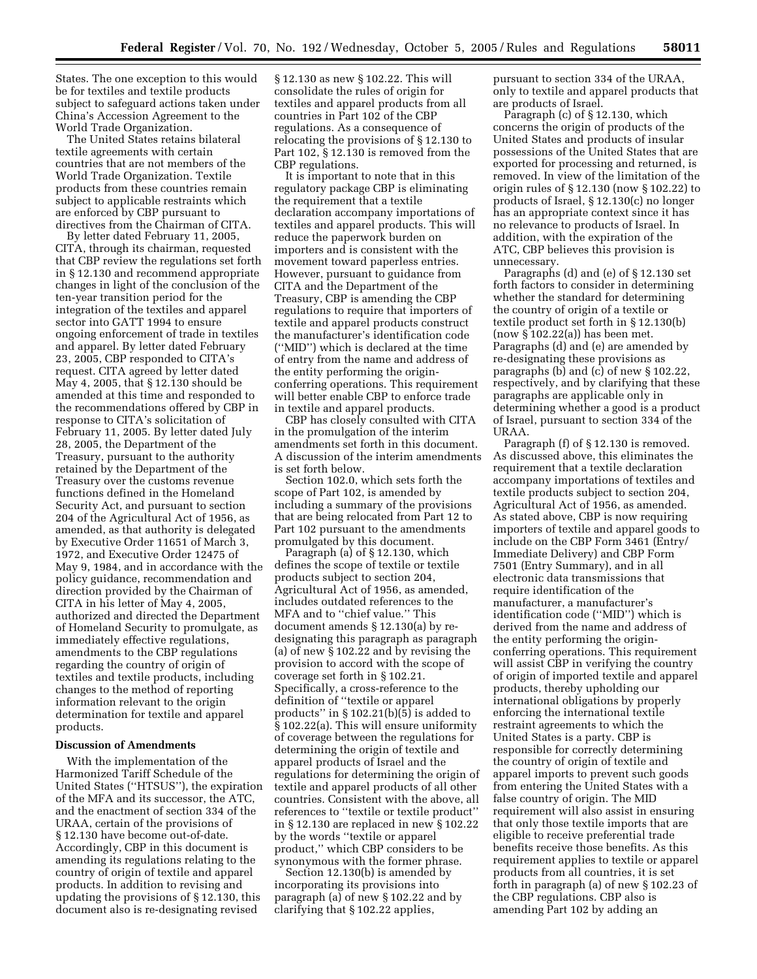States. The one exception to this would be for textiles and textile products subject to safeguard actions taken under China's Accession Agreement to the World Trade Organization.

The United States retains bilateral textile agreements with certain countries that are not members of the World Trade Organization. Textile products from these countries remain subject to applicable restraints which are enforced by CBP pursuant to directives from the Chairman of CITA.

By letter dated February 11, 2005, CITA, through its chairman, requested that CBP review the regulations set forth in § 12.130 and recommend appropriate changes in light of the conclusion of the ten-year transition period for the integration of the textiles and apparel sector into GATT 1994 to ensure ongoing enforcement of trade in textiles and apparel. By letter dated February 23, 2005, CBP responded to CITA's request. CITA agreed by letter dated May 4, 2005, that § 12.130 should be amended at this time and responded to the recommendations offered by CBP in response to CITA's solicitation of February 11, 2005. By letter dated July 28, 2005, the Department of the Treasury, pursuant to the authority retained by the Department of the Treasury over the customs revenue functions defined in the Homeland Security Act, and pursuant to section 204 of the Agricultural Act of 1956, as amended, as that authority is delegated by Executive Order 11651 of March 3, 1972, and Executive Order 12475 of May 9, 1984, and in accordance with the policy guidance, recommendation and direction provided by the Chairman of CITA in his letter of May 4, 2005, authorized and directed the Department of Homeland Security to promulgate, as immediately effective regulations, amendments to the CBP regulations regarding the country of origin of textiles and textile products, including changes to the method of reporting information relevant to the origin determination for textile and apparel products.

## **Discussion of Amendments**

With the implementation of the Harmonized Tariff Schedule of the United States (''HTSUS''), the expiration of the MFA and its successor, the ATC, and the enactment of section 334 of the URAA, certain of the provisions of § 12.130 have become out-of-date. Accordingly, CBP in this document is amending its regulations relating to the country of origin of textile and apparel products. In addition to revising and updating the provisions of § 12.130, this document also is re-designating revised

§ 12.130 as new § 102.22. This will consolidate the rules of origin for textiles and apparel products from all countries in Part 102 of the CBP regulations. As a consequence of relocating the provisions of § 12.130 to Part 102, § 12.130 is removed from the CBP regulations.

It is important to note that in this regulatory package CBP is eliminating the requirement that a textile declaration accompany importations of textiles and apparel products. This will reduce the paperwork burden on importers and is consistent with the movement toward paperless entries. However, pursuant to guidance from CITA and the Department of the Treasury, CBP is amending the CBP regulations to require that importers of textile and apparel products construct the manufacturer's identification code (''MID'') which is declared at the time of entry from the name and address of the entity performing the originconferring operations. This requirement will better enable CBP to enforce trade in textile and apparel products.

CBP has closely consulted with CITA in the promulgation of the interim amendments set forth in this document. A discussion of the interim amendments is set forth below.

Section 102.0, which sets forth the scope of Part 102, is amended by including a summary of the provisions that are being relocated from Part 12 to Part 102 pursuant to the amendments promulgated by this document.

Paragraph (a) of § 12.130, which defines the scope of textile or textile products subject to section 204, Agricultural Act of 1956, as amended, includes outdated references to the MFA and to ''chief value.'' This document amends § 12.130(a) by redesignating this paragraph as paragraph (a) of new § 102.22 and by revising the provision to accord with the scope of coverage set forth in § 102.21. Specifically, a cross-reference to the definition of ''textile or apparel products" in  $\S 102.21(b)(5)$  is added to § 102.22(a). This will ensure uniformity of coverage between the regulations for determining the origin of textile and apparel products of Israel and the regulations for determining the origin of textile and apparel products of all other countries. Consistent with the above, all references to ''textile or textile product'' in § 12.130 are replaced in new § 102.22 by the words ''textile or apparel product,'' which CBP considers to be synonymous with the former phrase.

Section 12.130(b) is amended by incorporating its provisions into paragraph (a) of new § 102.22 and by clarifying that § 102.22 applies,

pursuant to section 334 of the URAA, only to textile and apparel products that are products of Israel.

Paragraph (c) of § 12.130, which concerns the origin of products of the United States and products of insular possessions of the United States that are exported for processing and returned, is removed. In view of the limitation of the origin rules of § 12.130 (now § 102.22) to products of Israel, § 12.130(c) no longer has an appropriate context since it has no relevance to products of Israel. In addition, with the expiration of the ATC, CBP believes this provision is unnecessary.

Paragraphs (d) and (e) of § 12.130 set forth factors to consider in determining whether the standard for determining the country of origin of a textile or textile product set forth in § 12.130(b) (now § 102.22(a)) has been met. Paragraphs (d) and (e) are amended by re-designating these provisions as paragraphs (b) and (c) of new § 102.22, respectively, and by clarifying that these paragraphs are applicable only in determining whether a good is a product of Israel, pursuant to section 334 of the URAA.

Paragraph (f) of § 12.130 is removed. As discussed above, this eliminates the requirement that a textile declaration accompany importations of textiles and textile products subject to section 204, Agricultural Act of 1956, as amended. As stated above, CBP is now requiring importers of textile and apparel goods to include on the CBP Form 3461 (Entry/ Immediate Delivery) and CBP Form 7501 (Entry Summary), and in all electronic data transmissions that require identification of the manufacturer, a manufacturer's identification code (''MID'') which is derived from the name and address of the entity performing the originconferring operations. This requirement will assist CBP in verifying the country of origin of imported textile and apparel products, thereby upholding our international obligations by properly enforcing the international textile restraint agreements to which the United States is a party. CBP is responsible for correctly determining the country of origin of textile and apparel imports to prevent such goods from entering the United States with a false country of origin. The MID requirement will also assist in ensuring that only those textile imports that are eligible to receive preferential trade benefits receive those benefits. As this requirement applies to textile or apparel products from all countries, it is set forth in paragraph (a) of new § 102.23 of the CBP regulations. CBP also is amending Part 102 by adding an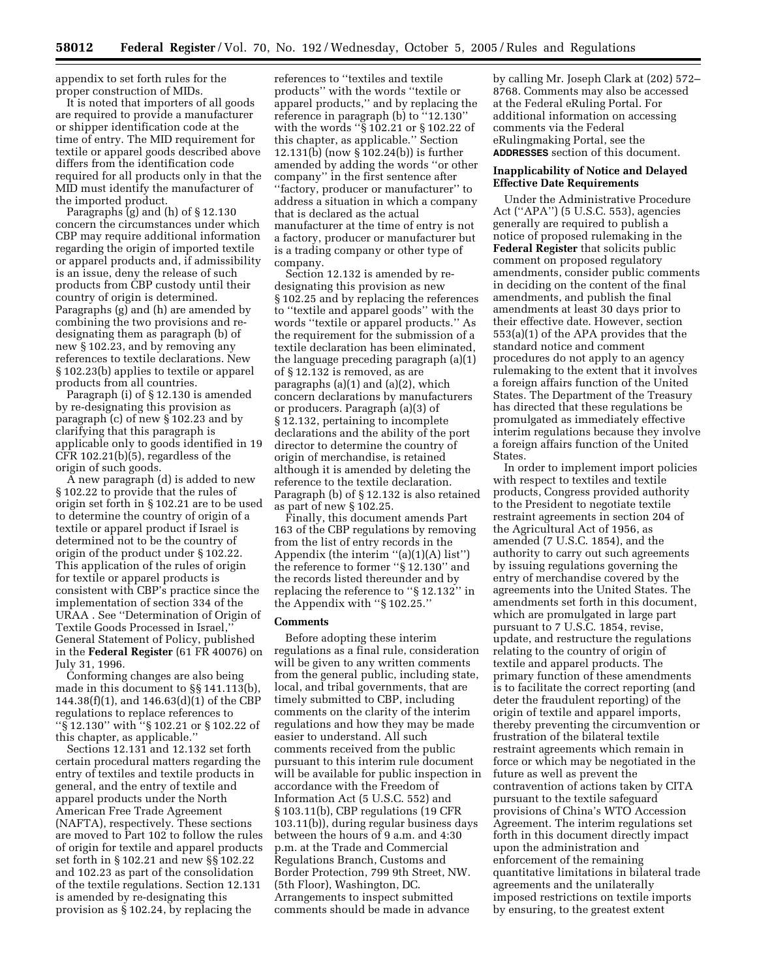appendix to set forth rules for the proper construction of MIDs.

It is noted that importers of all goods are required to provide a manufacturer or shipper identification code at the time of entry. The MID requirement for textile or apparel goods described above differs from the identification code required for all products only in that the MID must identify the manufacturer of the imported product.

Paragraphs (g) and (h) of § 12.130 concern the circumstances under which CBP may require additional information regarding the origin of imported textile or apparel products and, if admissibility is an issue, deny the release of such products from CBP custody until their country of origin is determined. Paragraphs (g) and (h) are amended by combining the two provisions and redesignating them as paragraph (b) of new § 102.23, and by removing any references to textile declarations. New § 102.23(b) applies to textile or apparel products from all countries.

Paragraph (i) of § 12.130 is amended by re-designating this provision as paragraph (c) of new § 102.23 and by clarifying that this paragraph is applicable only to goods identified in 19 CFR 102.21(b)(5), regardless of the origin of such goods.

A new paragraph (d) is added to new § 102.22 to provide that the rules of origin set forth in § 102.21 are to be used to determine the country of origin of a textile or apparel product if Israel is determined not to be the country of origin of the product under § 102.22. This application of the rules of origin for textile or apparel products is consistent with CBP's practice since the implementation of section 334 of the URAA . See ''Determination of Origin of Textile Goods Processed in Israel,'' General Statement of Policy, published in the **Federal Register** (61 FR 40076) on July 31, 1996.

Conforming changes are also being made in this document to §§ 141.113(b), 144.38(f)(1), and 146.63(d)(1) of the CBP regulations to replace references to ''§ 12.130'' with ''§ 102.21 or § 102.22 of this chapter, as applicable.''

Sections 12.131 and 12.132 set forth certain procedural matters regarding the entry of textiles and textile products in general, and the entry of textile and apparel products under the North American Free Trade Agreement (NAFTA), respectively. These sections are moved to Part 102 to follow the rules of origin for textile and apparel products set forth in § 102.21 and new §§ 102.22 and 102.23 as part of the consolidation of the textile regulations. Section 12.131 is amended by re-designating this provision as § 102.24, by replacing the

references to ''textiles and textile products'' with the words ''textile or apparel products,'' and by replacing the reference in paragraph (b) to ''12.130'' with the words ''§ 102.21 or § 102.22 of this chapter, as applicable.'' Section 12.131(b) (now § 102.24(b)) is further amended by adding the words ''or other company'' in the first sentence after ''factory, producer or manufacturer'' to address a situation in which a company that is declared as the actual manufacturer at the time of entry is not a factory, producer or manufacturer but is a trading company or other type of company.

Section 12.132 is amended by redesignating this provision as new § 102.25 and by replacing the references to ''textile and apparel goods'' with the words ''textile or apparel products.'' As the requirement for the submission of a textile declaration has been eliminated, the language preceding paragraph (a)(1) of § 12.132 is removed, as are paragraphs  $(a)(1)$  and  $(a)(2)$ , which concern declarations by manufacturers or producers. Paragraph (a)(3) of § 12.132, pertaining to incomplete declarations and the ability of the port director to determine the country of origin of merchandise, is retained although it is amended by deleting the reference to the textile declaration. Paragraph (b) of § 12.132 is also retained as part of new § 102.25.

Finally, this document amends Part 163 of the CBP regulations by removing from the list of entry records in the Appendix (the interim  $\lq (a)(1)(A)$  list") the reference to former ''§ 12.130'' and the records listed thereunder and by replacing the reference to ''§ 12.132'' in the Appendix with ''§ 102.25.''

#### **Comments**

Before adopting these interim regulations as a final rule, consideration will be given to any written comments from the general public, including state, local, and tribal governments, that are timely submitted to CBP, including comments on the clarity of the interim regulations and how they may be made easier to understand. All such comments received from the public pursuant to this interim rule document will be available for public inspection in accordance with the Freedom of Information Act (5 U.S.C. 552) and § 103.11(b), CBP regulations (19 CFR 103.11(b)), during regular business days between the hours of 9 a.m. and 4:30 p.m. at the Trade and Commercial Regulations Branch, Customs and Border Protection, 799 9th Street, NW. (5th Floor), Washington, DC. Arrangements to inspect submitted comments should be made in advance

by calling Mr. Joseph Clark at (202) 572– 8768. Comments may also be accessed at the Federal eRuling Portal. For additional information on accessing comments via the Federal eRulingmaking Portal, see the **ADDRESSES** section of this document.

## **Inapplicability of Notice and Delayed Effective Date Requirements**

Under the Administrative Procedure Act (''APA'') (5 U.S.C. 553), agencies generally are required to publish a notice of proposed rulemaking in the **Federal Register** that solicits public comment on proposed regulatory amendments, consider public comments in deciding on the content of the final amendments, and publish the final amendments at least 30 days prior to their effective date. However, section 553(a)(1) of the APA provides that the standard notice and comment procedures do not apply to an agency rulemaking to the extent that it involves a foreign affairs function of the United States. The Department of the Treasury has directed that these regulations be promulgated as immediately effective interim regulations because they involve a foreign affairs function of the United States.

In order to implement import policies with respect to textiles and textile products, Congress provided authority to the President to negotiate textile restraint agreements in section 204 of the Agricultural Act of 1956, as amended (7 U.S.C. 1854), and the authority to carry out such agreements by issuing regulations governing the entry of merchandise covered by the agreements into the United States. The amendments set forth in this document, which are promulgated in large part pursuant to 7 U.S.C. 1854, revise, update, and restructure the regulations relating to the country of origin of textile and apparel products. The primary function of these amendments is to facilitate the correct reporting (and deter the fraudulent reporting) of the origin of textile and apparel imports, thereby preventing the circumvention or frustration of the bilateral textile restraint agreements which remain in force or which may be negotiated in the future as well as prevent the contravention of actions taken by CITA pursuant to the textile safeguard provisions of China's WTO Accession Agreement. The interim regulations set forth in this document directly impact upon the administration and enforcement of the remaining quantitative limitations in bilateral trade agreements and the unilaterally imposed restrictions on textile imports by ensuring, to the greatest extent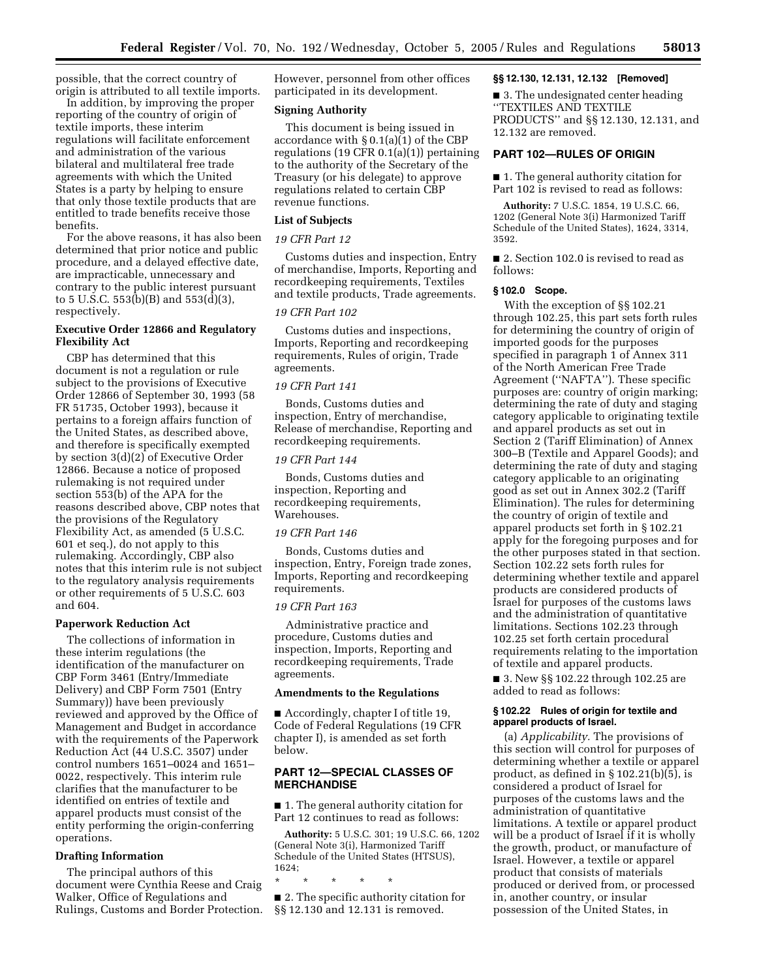possible, that the correct country of origin is attributed to all textile imports.

In addition, by improving the proper reporting of the country of origin of textile imports, these interim regulations will facilitate enforcement and administration of the various bilateral and multilateral free trade agreements with which the United States is a party by helping to ensure that only those textile products that are entitled to trade benefits receive those benefits.

For the above reasons, it has also been determined that prior notice and public procedure, and a delayed effective date, are impracticable, unnecessary and contrary to the public interest pursuant to 5 U.S.C. 553(b)(B) and 553(d)(3), respectively.

## **Executive Order 12866 and Regulatory Flexibility Act**

CBP has determined that this document is not a regulation or rule subject to the provisions of Executive Order 12866 of September 30, 1993 (58 FR 51735, October 1993), because it pertains to a foreign affairs function of the United States, as described above, and therefore is specifically exempted by section 3(d)(2) of Executive Order 12866. Because a notice of proposed rulemaking is not required under section 553(b) of the APA for the reasons described above, CBP notes that the provisions of the Regulatory Flexibility Act, as amended (5 U.S.C. 601 et seq.), do not apply to this rulemaking. Accordingly, CBP also notes that this interim rule is not subject to the regulatory analysis requirements or other requirements of 5 U.S.C. 603 and 604.

#### **Paperwork Reduction Act**

The collections of information in these interim regulations (the identification of the manufacturer on CBP Form 3461 (Entry/Immediate Delivery) and CBP Form 7501 (Entry Summary)) have been previously reviewed and approved by the Office of Management and Budget in accordance with the requirements of the Paperwork Reduction Act (44 U.S.C. 3507) under control numbers 1651–0024 and 1651– 0022, respectively. This interim rule clarifies that the manufacturer to be identified on entries of textile and apparel products must consist of the entity performing the origin-conferring operations.

#### **Drafting Information**

The principal authors of this document were Cynthia Reese and Craig Walker, Office of Regulations and Rulings, Customs and Border Protection. However, personnel from other offices participated in its development.

## **Signing Authority**

This document is being issued in accordance with § 0.1(a)(1) of the CBP regulations (19 CFR 0.1(a)(1)) pertaining to the authority of the Secretary of the Treasury (or his delegate) to approve regulations related to certain CBP revenue functions.

#### **List of Subjects**

## *19 CFR Part 12*

Customs duties and inspection, Entry of merchandise, Imports, Reporting and recordkeeping requirements, Textiles and textile products, Trade agreements.

## *19 CFR Part 102*

Customs duties and inspections, Imports, Reporting and recordkeeping requirements, Rules of origin, Trade agreements.

#### *19 CFR Part 141*

Bonds, Customs duties and inspection, Entry of merchandise, Release of merchandise, Reporting and recordkeeping requirements.

## *19 CFR Part 144*

Bonds, Customs duties and inspection, Reporting and recordkeeping requirements, Warehouses.

## *19 CFR Part 146*

Bonds, Customs duties and inspection, Entry, Foreign trade zones, Imports, Reporting and recordkeeping requirements.

#### *19 CFR Part 163*

Administrative practice and procedure, Customs duties and inspection, Imports, Reporting and recordkeeping requirements, Trade agreements.

#### **Amendments to the Regulations**

■ Accordingly, chapter I of title 19, Code of Federal Regulations (19 CFR chapter I), is amended as set forth below.

## **PART 12—SPECIAL CLASSES OF MERCHANDISE**

■ 1. The general authority citation for Part 12 continues to read as follows:

**Authority:** 5 U.S.C. 301; 19 U.S.C. 66, 1202 (General Note 3(i), Harmonized Tariff Schedule of the United States (HTSUS), 1624;

\* \* \* \* \*

■ 2. The specific authority citation for §§ 12.130 and 12.131 is removed.

## **§§ 12.130, 12.131, 12.132 [Removed]**

■ 3. The undesignated center heading ''TEXTILES AND TEXTILE PRODUCTS'' and §§ 12.130, 12.131, and 12.132 are removed.

# **PART 102—RULES OF ORIGIN**

■ 1. The general authority citation for Part 102 is revised to read as follows:

**Authority:** 7 U.S.C. 1854, 19 U.S.C. 66, 1202 (General Note 3(i) Harmonized Tariff Schedule of the United States), 1624, 3314, 3592.

## ■ 2. Section 102.0 is revised to read as follows:

## **§ 102.0 Scope.**

With the exception of §§ 102.21 through 102.25, this part sets forth rules for determining the country of origin of imported goods for the purposes specified in paragraph 1 of Annex 311 of the North American Free Trade Agreement (''NAFTA''). These specific purposes are: country of origin marking; determining the rate of duty and staging category applicable to originating textile and apparel products as set out in Section 2 (Tariff Elimination) of Annex 300–B (Textile and Apparel Goods); and determining the rate of duty and staging category applicable to an originating good as set out in Annex 302.2 (Tariff Elimination). The rules for determining the country of origin of textile and apparel products set forth in § 102.21 apply for the foregoing purposes and for the other purposes stated in that section. Section 102.22 sets forth rules for determining whether textile and apparel products are considered products of Israel for purposes of the customs laws and the administration of quantitative limitations. Sections 102.23 through 102.25 set forth certain procedural requirements relating to the importation of textile and apparel products.

■ 3. New §§ 102.22 through 102.25 are added to read as follows:

## **§ 102.22 Rules of origin for textile and apparel products of Israel.**

(a) *Applicability.* The provisions of this section will control for purposes of determining whether a textile or apparel product, as defined in § 102.21(b)(5), is considered a product of Israel for purposes of the customs laws and the administration of quantitative limitations. A textile or apparel product will be a product of Israel if it is wholly the growth, product, or manufacture of Israel. However, a textile or apparel product that consists of materials produced or derived from, or processed in, another country, or insular possession of the United States, in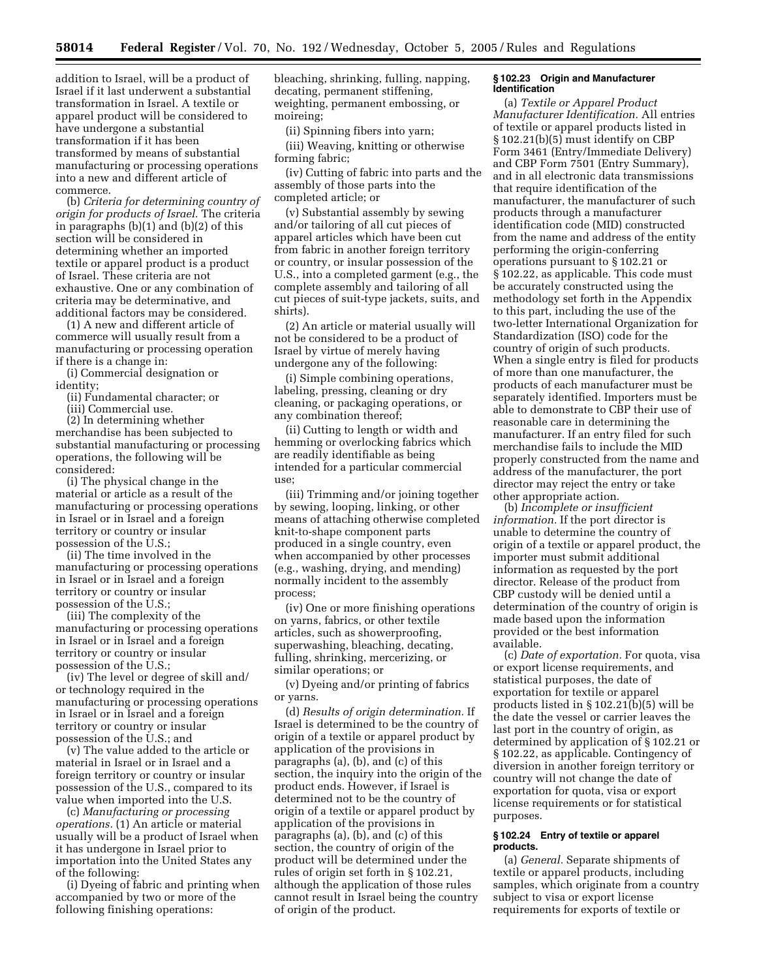addition to Israel, will be a product of Israel if it last underwent a substantial transformation in Israel. A textile or apparel product will be considered to have undergone a substantial transformation if it has been transformed by means of substantial manufacturing or processing operations into a new and different article of commerce.

(b) *Criteria for determining country of origin for products of Israel.* The criteria in paragraphs (b)(1) and (b)(2) of this section will be considered in determining whether an imported textile or apparel product is a product of Israel. These criteria are not exhaustive. One or any combination of criteria may be determinative, and additional factors may be considered.

(1) A new and different article of commerce will usually result from a manufacturing or processing operation if there is a change in:

(i) Commercial designation or identity;

(ii) Fundamental character; or

(iii) Commercial use.

(2) In determining whether merchandise has been subjected to substantial manufacturing or processing operations, the following will be considered:

(i) The physical change in the material or article as a result of the manufacturing or processing operations in Israel or in Israel and a foreign territory or country or insular possession of the U.S.;

(ii) The time involved in the manufacturing or processing operations in Israel or in Israel and a foreign territory or country or insular possession of the U.S.;

(iii) The complexity of the manufacturing or processing operations in Israel or in Israel and a foreign territory or country or insular possession of the U.S.;

(iv) The level or degree of skill and/ or technology required in the manufacturing or processing operations in Israel or in Israel and a foreign territory or country or insular possession of the U.S.; and

(v) The value added to the article or material in Israel or in Israel and a foreign territory or country or insular possession of the U.S., compared to its value when imported into the U.S.

(c) *Manufacturing or processing operations.* (1) An article or material usually will be a product of Israel when it has undergone in Israel prior to importation into the United States any of the following:

(i) Dyeing of fabric and printing when accompanied by two or more of the following finishing operations:

bleaching, shrinking, fulling, napping, decating, permanent stiffening, weighting, permanent embossing, or moireing;

(ii) Spinning fibers into yarn; (iii) Weaving, knitting or otherwise forming fabric;

(iv) Cutting of fabric into parts and the assembly of those parts into the completed article; or

(v) Substantial assembly by sewing and/or tailoring of all cut pieces of apparel articles which have been cut from fabric in another foreign territory or country, or insular possession of the U.S., into a completed garment (e.g., the complete assembly and tailoring of all cut pieces of suit-type jackets, suits, and shirts).

(2) An article or material usually will not be considered to be a product of Israel by virtue of merely having undergone any of the following:

(i) Simple combining operations, labeling, pressing, cleaning or dry cleaning, or packaging operations, or any combination thereof;

(ii) Cutting to length or width and hemming or overlocking fabrics which are readily identifiable as being intended for a particular commercial use;

(iii) Trimming and/or joining together by sewing, looping, linking, or other means of attaching otherwise completed knit-to-shape component parts produced in a single country, even when accompanied by other processes (e.g., washing, drying, and mending) normally incident to the assembly process;

(iv) One or more finishing operations on yarns, fabrics, or other textile articles, such as showerproofing, superwashing, bleaching, decating, fulling, shrinking, mercerizing, or similar operations; or

(v) Dyeing and/or printing of fabrics or yarns.

(d) *Results of origin determination.* If Israel is determined to be the country of origin of a textile or apparel product by application of the provisions in paragraphs (a), (b), and (c) of this section, the inquiry into the origin of the product ends. However, if Israel is determined not to be the country of origin of a textile or apparel product by application of the provisions in paragraphs (a), (b), and (c) of this section, the country of origin of the product will be determined under the rules of origin set forth in § 102.21, although the application of those rules cannot result in Israel being the country of origin of the product.

#### **§ 102.23 Origin and Manufacturer Identification**

(a) *Textile or Apparel Product Manufacturer Identification.* All entries of textile or apparel products listed in § 102.21(b)(5) must identify on CBP Form 3461 (Entry/Immediate Delivery) and CBP Form 7501 (Entry Summary), and in all electronic data transmissions that require identification of the manufacturer, the manufacturer of such products through a manufacturer identification code (MID) constructed from the name and address of the entity performing the origin-conferring operations pursuant to § 102.21 or § 102.22, as applicable. This code must be accurately constructed using the methodology set forth in the Appendix to this part, including the use of the two-letter International Organization for Standardization (ISO) code for the country of origin of such products. When a single entry is filed for products of more than one manufacturer, the products of each manufacturer must be separately identified. Importers must be able to demonstrate to CBP their use of reasonable care in determining the manufacturer. If an entry filed for such merchandise fails to include the MID properly constructed from the name and address of the manufacturer, the port director may reject the entry or take other appropriate action.

(b) *Incomplete or insufficient information.* If the port director is unable to determine the country of origin of a textile or apparel product, the importer must submit additional information as requested by the port director. Release of the product from CBP custody will be denied until a determination of the country of origin is made based upon the information provided or the best information available.

(c) *Date of exportation.* For quota, visa or export license requirements, and statistical purposes, the date of exportation for textile or apparel products listed in § 102.21(b)(5) will be the date the vessel or carrier leaves the last port in the country of origin, as determined by application of § 102.21 or § 102.22, as applicable. Contingency of diversion in another foreign territory or country will not change the date of exportation for quota, visa or export license requirements or for statistical purposes.

#### **§ 102.24 Entry of textile or apparel products.**

(a) *General.* Separate shipments of textile or apparel products, including samples, which originate from a country subject to visa or export license requirements for exports of textile or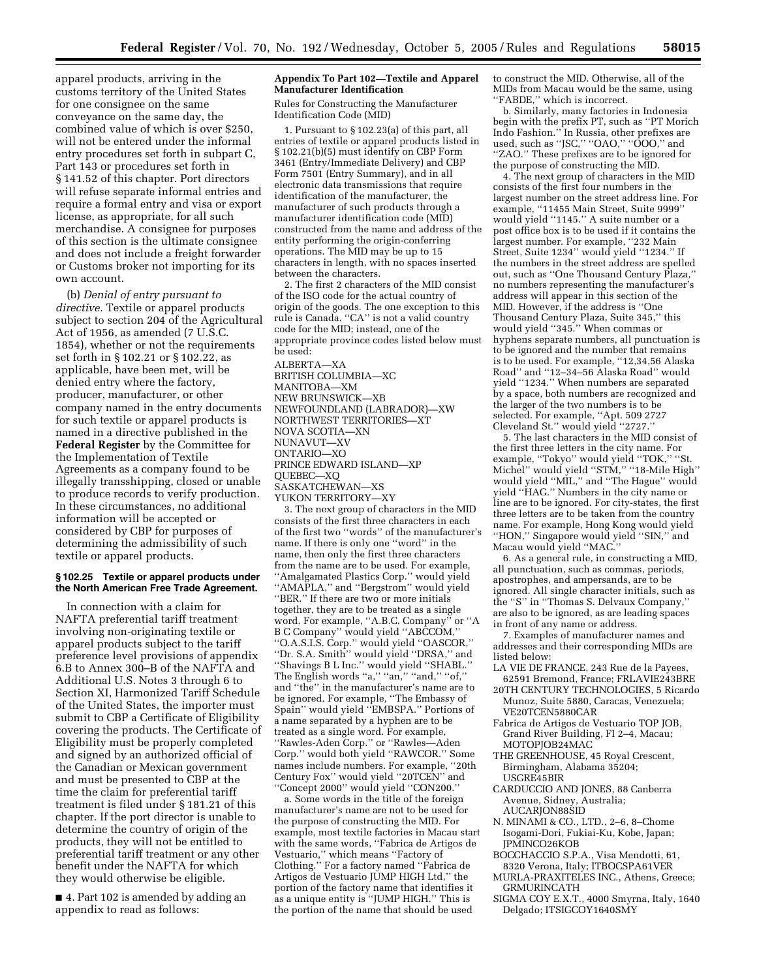apparel products, arriving in the customs territory of the United States for one consignee on the same conveyance on the same day, the combined value of which is over \$250, will not be entered under the informal entry procedures set forth in subpart C, Part 143 or procedures set forth in § 141.52 of this chapter. Port directors will refuse separate informal entries and require a formal entry and visa or export license, as appropriate, for all such merchandise. A consignee for purposes of this section is the ultimate consignee and does not include a freight forwarder or Customs broker not importing for its own account.

(b) *Denial of entry pursuant to directive.* Textile or apparel products subject to section 204 of the Agricultural Act of 1956, as amended (7 U.S.C. 1854), whether or not the requirements set forth in § 102.21 or § 102.22, as applicable, have been met, will be denied entry where the factory, producer, manufacturer, or other company named in the entry documents for such textile or apparel products is named in a directive published in the **Federal Register** by the Committee for the Implementation of Textile Agreements as a company found to be illegally transshipping, closed or unable to produce records to verify production. In these circumstances, no additional information will be accepted or considered by CBP for purposes of determining the admissibility of such textile or apparel products.

#### **§ 102.25 Textile or apparel products under the North American Free Trade Agreement.**

In connection with a claim for NAFTA preferential tariff treatment involving non-originating textile or apparel products subject to the tariff preference level provisions of appendix 6.B to Annex 300–B of the NAFTA and Additional U.S. Notes 3 through 6 to Section XI, Harmonized Tariff Schedule of the United States, the importer must submit to CBP a Certificate of Eligibility covering the products. The Certificate of Eligibility must be properly completed and signed by an authorized official of the Canadian or Mexican government and must be presented to CBP at the time the claim for preferential tariff treatment is filed under § 181.21 of this chapter. If the port director is unable to determine the country of origin of the products, they will not be entitled to preferential tariff treatment or any other benefit under the NAFTA for which they would otherwise be eligible.

■ 4. Part 102 is amended by adding an appendix to read as follows:

#### **Appendix To Part 102—Textile and Apparel Manufacturer Identification**

Rules for Constructing the Manufacturer Identification Code (MID)

1. Pursuant to § 102.23(a) of this part, all entries of textile or apparel products listed in § 102.21(b)(5) must identify on CBP Form 3461 (Entry/Immediate Delivery) and CBP Form 7501 (Entry Summary), and in all electronic data transmissions that require identification of the manufacturer, the manufacturer of such products through a manufacturer identification code (MID) constructed from the name and address of the entity performing the origin-conferring operations. The MID may be up to 15 characters in length, with no spaces inserted between the characters.

2. The first 2 characters of the MID consist of the ISO code for the actual country of origin of the goods. The one exception to this rule is Canada. ''CA'' is not a valid country code for the MID; instead, one of the appropriate province codes listed below must be used: ALBERTA—XA BRITISH COLUMBIA—XC MANITOBA—XM NEW BRUNSWICK—XB NEWFOUNDLAND (LABRADOR)—XW NORTHWEST TERRITORIES—XT NOVA SCOTIA—XN NUNAVUT—XV ONTARIO—XO PRINCE EDWARD ISLAND—XP QUEBEC—XQ SASKATCHEWAN—XS YUKON TERRITORY—XY 3. The next group of characters in the MID consists of the first three characters in each

of the first two ''words'' of the manufacturer's name. If there is only one ''word'' in the name, then only the first three characters from the name are to be used. For example, ''Amalgamated Plastics Corp.'' would yield ''AMAPLA,'' and ''Bergstrom'' would yield ''BER.'' If there are two or more initials together, they are to be treated as a single word. For example, ''A.B.C. Company'' or ''A B C Company'' would yield ''ABCCOM,'' ''O.A.S.I.S. Corp.'' would yield ''OASCOR,'' ''Dr. S.A. Smith'' would yield ''DRSA,'' and ''Shavings B L Inc.'' would yield ''SHABL.'' The English words ''a,'' ''an,'' ''and,'' ''of,'' and ''the'' in the manufacturer's name are to be ignored. For example, ''The Embassy of Spain'' would yield ''EMBSPA.'' Portions of a name separated by a hyphen are to be treated as a single word. For example, ''Rawles-Aden Corp.'' or ''Rawles—Aden Corp.'' would both yield ''RAWCOR.'' Some names include numbers. For example, ''20th Century Fox'' would yield ''20TCEN'' and ''Concept 2000'' would yield ''CON200.''

a. Some words in the title of the foreign manufacturer's name are not to be used for the purpose of constructing the MID. For example, most textile factories in Macau start with the same words, ''Fabrica de Artigos de Vestuario,'' which means ''Factory of Clothing.'' For a factory named ''Fabrica de Artigos de Vestuario JUMP HIGH Ltd,'' the portion of the factory name that identifies it as a unique entity is ''JUMP HIGH.'' This is the portion of the name that should be used

to construct the MID. Otherwise, all of the MIDs from Macau would be the same, using ''FABDE,'' which is incorrect.

b. Similarly, many factories in Indonesia begin with the prefix PT, such as ''PT Morich Indo Fashion.'' In Russia, other prefixes are used, such as ''JSC,'' ''OAO,'' ''OOO,'' and ''ZAO.'' These prefixes are to be ignored for the purpose of constructing the MID.

4. The next group of characters in the MID consists of the first four numbers in the largest number on the street address line. For example, ''11455 Main Street, Suite 9999'' would yield ''1145.'' A suite number or a post office box is to be used if it contains the largest number. For example, "232 Main Street, Suite 1234'' would yield ''1234.'' If the numbers in the street address are spelled out, such as ''One Thousand Century Plaza,'' no numbers representing the manufacturer's address will appear in this section of the MID. However, if the address is ''One Thousand Century Plaza, Suite 345,'' this would yield ''345.'' When commas or hyphens separate numbers, all punctuation is to be ignored and the number that remains is to be used. For example, "12,34,56 Alaska Road'' and ''12–34–56 Alaska Road'' would yield ''1234.'' When numbers are separated by a space, both numbers are recognized and the larger of the two numbers is to be selected. For example, ''Apt. 509 2727 Cleveland St." would yield "2727.

5. The last characters in the MID consist of the first three letters in the city name. For example, "Tokyo" would yield "TOK," "St. Michel'' would yield ''STM,'' ''18-Mile High'' would yield ''MIL,'' and ''The Hague'' would yield ''HAG.'' Numbers in the city name or line are to be ignored. For city-states, the first three letters are to be taken from the country name. For example, Hong Kong would yield ''HON,'' Singapore would yield ''SIN,'' and Macau would yield ''MAC.''

6. As a general rule, in constructing a MID, all punctuation, such as commas, periods, apostrophes, and ampersands, are to be ignored. All single character initials, such as the ''S'' in ''Thomas S. Delvaux Company,'' are also to be ignored, as are leading spaces in front of any name or address.

7. Examples of manufacturer names and addresses and their corresponding MIDs are listed below:

- LA VIE DE FRANCE, 243 Rue de la Payees, 62591 Bremond, France; FRLAVIE243BRE
- 20TH CENTURY TECHNOLOGIES, 5 Ricardo Munoz, Suite 5880, Caracas, Venezuela; VE20TCEN5880CAR
- Fabrica de Artigos de Vestuario TOP JOB, Grand River Building, FI 2–4, Macau; MOTOPJOB24MAC
- THE GREENHOUSE, 45 Royal Crescent, Birmingham, Alabama 35204;
- USGRE45BIR
- CARDUCCIO AND JONES, 88 Canberra Avenue, Sidney, Australia; AUCARJON88SID
- N. MINAMI & CO., LTD., 2–6, 8–Chome
- Isogami-Dori, Fukiai-Ku, Kobe, Japan; JPMINCO26KOB
- BOCCHACCIO S.P.A., Visa Mendotti, 61, 8320 Verona, Italy; ITBOCSPA61VER
- MURLA-PRAXITELES INC., Athens, Greece; GRMURINCATH
- SIGMA COY E.X.T., 4000 Smyrna, Italy, 1640 Delgado; ITSIGCOY1640SMY